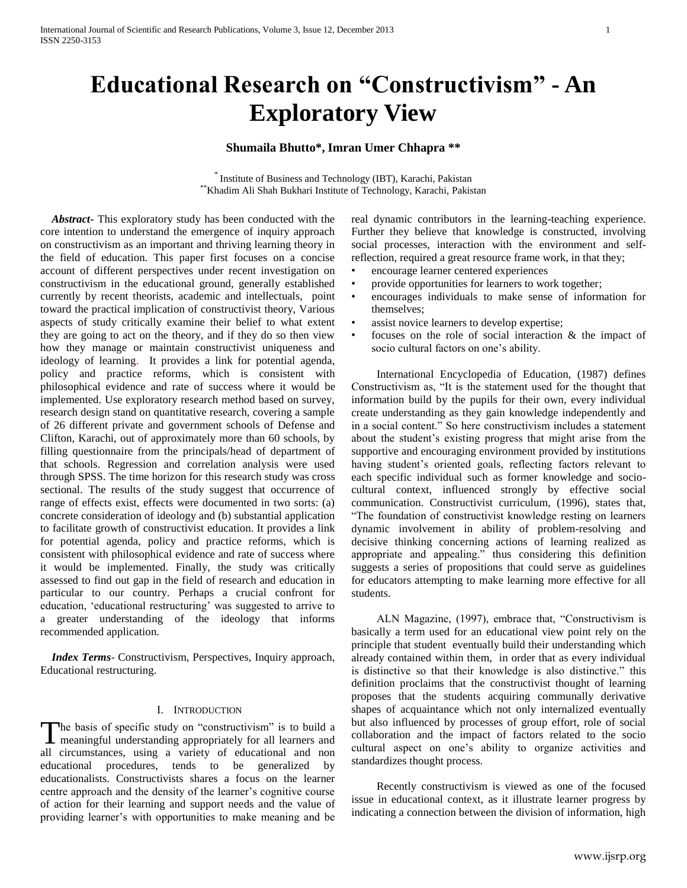# **Educational Research on "Constructivism" - An Exploratory View**

# **Shumaila Bhutto\*, Imran Umer Chhapra \*\***

\* Institute of Business and Technology (IBT), Karachi, Pakistan \*\*Khadim Ali Shah Bukhari Institute of Technology, Karachi, Pakistan

 *Abstract***-** This exploratory study has been conducted with the core intention to understand the emergence of inquiry approach on constructivism as an important and thriving learning theory in the field of education. This paper first focuses on a concise account of different perspectives under recent investigation on constructivism in the educational ground, generally established currently by recent theorists, academic and intellectuals, point toward the practical implication of constructivist theory, Various aspects of study critically examine their belief to what extent they are going to act on the theory, and if they do so then view how they manage or maintain constructivist uniqueness and ideology of learning. It provides a link for potential agenda, policy and practice reforms, which is consistent with philosophical evidence and rate of success where it would be implemented. Use exploratory research method based on survey, research design stand on quantitative research, covering a sample of 26 different private and government schools of Defense and Clifton, Karachi, out of approximately more than 60 schools, by filling questionnaire from the principals/head of department of that schools. Regression and correlation analysis were used through SPSS. The time horizon for this research study was cross sectional. The results of the study suggest that occurrence of range of effects exist, effects were documented in two sorts: (a) concrete consideration of ideology and (b) substantial application to facilitate growth of constructivist education. It provides a link for potential agenda, policy and practice reforms, which is consistent with philosophical evidence and rate of success where it would be implemented. Finally, the study was critically assessed to find out gap in the field of research and education in particular to our country. Perhaps a crucial confront for education, 'educational restructuring' was suggested to arrive to a greater understanding of the ideology that informs recommended application.

 *Index Terms*- Constructivism, Perspectives, Inquiry approach, Educational restructuring.

#### I. INTRODUCTION

The basis of specific study on "constructivism" is to build a The basis of specific study on "constructivism" is to build a meaningful understanding appropriately for all learners and all circumstances, using a variety of educational and non educational procedures, tends to be generalized by educationalists. Constructivists shares a focus on the learner centre approach and the density of the learner's cognitive course of action for their learning and support needs and the value of providing learner's with opportunities to make meaning and be real dynamic contributors in the learning-teaching experience. Further they believe that knowledge is constructed, involving social processes, interaction with the environment and selfreflection, required a great resource frame work, in that they;

- encourage learner centered experiences
- provide opportunities for learners to work together;
- encourages individuals to make sense of information for themselves;
- assist novice learners to develop expertise;
- focuses on the role of social interaction & the impact of socio cultural factors on one's ability.

International Encyclopedia of Education, (1987) defines Constructivism as, "It is the statement used for the thought that information build by the pupils for their own, every individual create understanding as they gain knowledge independently and in a social content." So here constructivism includes a statement about the student's existing progress that might arise from the supportive and encouraging environment provided by institutions having student's oriented goals, reflecting factors relevant to each specific individual such as former knowledge and sociocultural context, influenced strongly by effective social communication. Constructivist curriculum, (1996), states that, "The foundation of constructivist knowledge resting on learners dynamic involvement in ability of problem-resolving and decisive thinking concerning actions of learning realized as appropriate and appealing." thus considering this definition suggests a series of propositions that could serve as guidelines for educators attempting to make learning more effective for all students.

ALN Magazine, (1997), embrace that, "Constructivism is basically a term used for an educational view point rely on the principle that student eventually build their understanding which already contained within them, in order that as every individual is distinctive so that their knowledge is also distinctive." this definition proclaims that the constructivist thought of learning proposes that the students acquiring communally derivative shapes of acquaintance which not only internalized eventually but also influenced by processes of group effort, role of social collaboration and the impact of factors related to the socio cultural aspect on one's ability to organize activities and standardizes thought process.

Recently constructivism is viewed as one of the focused issue in educational context, as it illustrate learner progress by indicating a connection between the division of information, high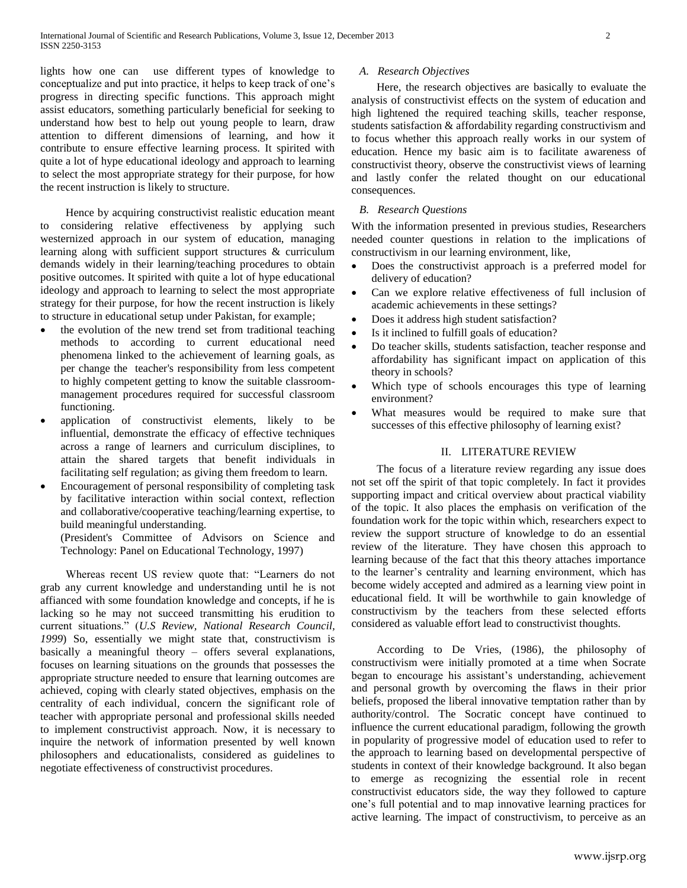lights how one can use different types of knowledge to conceptualize and put into practice, it helps to keep track of one's progress in directing specific functions. This approach might assist educators, something particularly beneficial for seeking to understand how best to help out young people to learn, draw attention to different dimensions of learning, and how it contribute to ensure effective learning process. It spirited with quite a lot of hype educational ideology and approach to learning to select the most appropriate strategy for their purpose, for how the recent instruction is likely to structure.

Hence by acquiring constructivist realistic education meant to considering relative effectiveness by applying such westernized approach in our system of education, managing learning along with sufficient support structures & curriculum demands widely in their learning/teaching procedures to obtain positive outcomes. It spirited with quite a lot of hype educational ideology and approach to learning to select the most appropriate strategy for their purpose, for how the recent instruction is likely to structure in educational setup under Pakistan, for example;

- the evolution of the new trend set from traditional teaching methods to according to current educational need phenomena linked to the achievement of learning goals, as per change the teacher's responsibility from less competent to highly competent getting to know the suitable classroommanagement procedures required for successful classroom functioning.
- application of constructivist elements, likely to be influential, demonstrate the efficacy of effective techniques across a range of learners and curriculum disciplines, to attain the shared targets that benefit individuals in facilitating self regulation; as giving them freedom to learn.
- Encouragement of personal responsibility of completing task by facilitative interaction within social context, reflection and collaborative/cooperative teaching/learning expertise, to build meaningful understanding.

(President's Committee of Advisors on Science and Technology: Panel on Educational Technology, 1997)

Whereas recent US review quote that: "Learners do not grab any current knowledge and understanding until he is not affianced with some foundation knowledge and concepts, if he is lacking so he may not succeed transmitting his erudition to current situations." (*U.S Review, National Research Council, 1999*) So, essentially we might state that, constructivism is basically a meaningful theory – offers several explanations, focuses on learning situations on the grounds that possesses the appropriate structure needed to ensure that learning outcomes are achieved, coping with clearly stated objectives, emphasis on the centrality of each individual, concern the significant role of teacher with appropriate personal and professional skills needed to implement constructivist approach. Now, it is necessary to inquire the network of information presented by well known philosophers and educationalists, considered as guidelines to negotiate effectiveness of constructivist procedures.

## *A. Research Objectives*

Here, the research objectives are basically to evaluate the analysis of constructivist effects on the system of education and high lightened the required teaching skills, teacher response, students satisfaction & affordability regarding constructivism and to focus whether this approach really works in our system of education. Hence my basic aim is to facilitate awareness of constructivist theory, observe the constructivist views of learning and lastly confer the related thought on our educational consequences.

## *B. Research Questions*

With the information presented in previous studies, Researchers needed counter questions in relation to the implications of constructivism in our learning environment, like,

- Does the constructivist approach is a preferred model for delivery of education?
- Can we explore relative effectiveness of full inclusion of academic achievements in these settings?
- Does it address high student satisfaction?
- Is it inclined to fulfill goals of education?
- Do teacher skills, students satisfaction, teacher response and affordability has significant impact on application of this theory in schools?
- Which type of schools encourages this type of learning environment?
- What measures would be required to make sure that successes of this effective philosophy of learning exist?

## II. LITERATURE REVIEW

The focus of a literature review regarding any issue does not set off the spirit of that topic completely. In fact it provides supporting impact and critical overview about practical viability of the topic. It also places the emphasis on verification of the foundation work for the topic within which, researchers expect to review the support structure of knowledge to do an essential review of the literature. They have chosen this approach to learning because of the fact that this theory attaches importance to the learner's centrality and learning environment, which has become widely accepted and admired as a learning view point in educational field. It will be worthwhile to gain knowledge of constructivism by the teachers from these selected efforts considered as valuable effort lead to constructivist thoughts.

According to De Vries, (1986), the philosophy of constructivism were initially promoted at a time when Socrate began to encourage his assistant's understanding, achievement and personal growth by overcoming the flaws in their prior beliefs, proposed the liberal innovative temptation rather than by authority/control. The Socratic concept have continued to influence the current educational paradigm, following the growth in popularity of progressive model of education used to refer to the approach to learning based on developmental perspective of students in context of their knowledge background. It also began to emerge as recognizing the essential role in recent constructivist educators side, the way they followed to capture one's full potential and to map innovative learning practices for active learning. The impact of constructivism, to perceive as an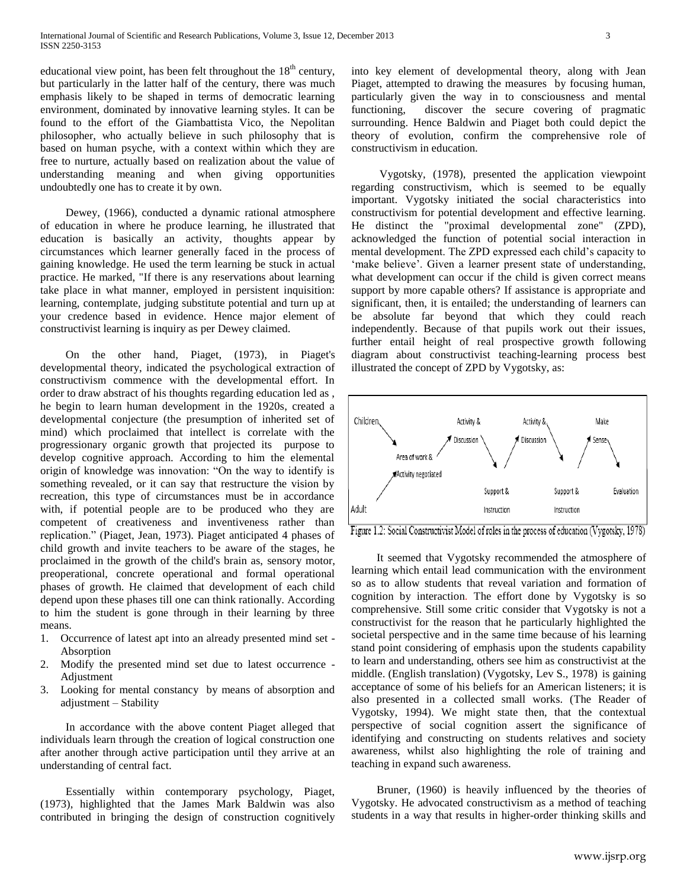educational view point, has been felt throughout the  $18<sup>th</sup>$  century, but particularly in the latter half of the century, there was much emphasis likely to be shaped in terms of democratic learning environment, dominated by innovative learning styles. It can be found to the effort of the Giambattista Vico, the Nepolitan philosopher, who actually believe in such philosophy that is based on human psyche, with a context within which they are free to nurture, actually based on realization about the value of understanding meaning and when giving opportunities undoubtedly one has to create it by own.

Dewey, (1966), conducted a dynamic rational atmosphere of education in where he produce learning, he illustrated that education is basically an activity, thoughts appear by circumstances which learner generally faced in the process of gaining knowledge. He used the term learning be stuck in actual practice. He marked, "If there is any reservations about learning take place in what manner, employed in persistent inquisition: learning, contemplate, judging substitute potential and turn up at your credence based in evidence. Hence major element of constructivist learning is inquiry as per Dewey claimed.

On the other hand, Piaget, (1973), in Piaget's developmental theory, indicated the psychological extraction of constructivism commence with the developmental effort. In order to draw abstract of his thoughts regarding education led as , he begin to learn human development in the 1920s, created a developmental conjecture (the presumption of inherited set of mind) which proclaimed that intellect is correlate with the progressionary organic growth that projected its purpose to develop cognitive approach. According to him the elemental origin of knowledge was innovation: "On the way to identify is something revealed, or it can say that restructure the vision by recreation, this type of circumstances must be in accordance with, if potential people are to be produced who they are competent of creativeness and inventiveness rather than replication." (Piaget, Jean, 1973). Piaget anticipated 4 phases of child growth and invite teachers to be aware of the stages, he proclaimed in the growth of the child's brain as, sensory motor, preoperational, concrete operational and formal operational phases of growth. He claimed that development of each child depend upon these phases till one can think rationally. According to him the student is gone through in their learning by three means.

- 1. Occurrence of latest apt into an already presented mind set Absorption
- 2. Modify the presented mind set due to latest occurrence Adjustment
- 3. Looking for mental constancy by means of absorption and adjustment – Stability

In accordance with the above content Piaget alleged that individuals learn through the creation of logical construction one after another through active participation until they arrive at an understanding of central fact.

Essentially within contemporary psychology, Piaget, (1973), highlighted that the James Mark Baldwin was also contributed in bringing the design of construction cognitively

into key element of developmental theory, along with Jean Piaget, attempted to drawing the measures by focusing human, particularly given the way in to consciousness and mental functioning, discover the secure covering of pragmatic surrounding. Hence Baldwin and Piaget both could depict the theory of evolution, confirm the comprehensive role of constructivism in education.

Vygotsky, (1978), presented the application viewpoint regarding constructivism, which is seemed to be equally important. Vygotsky initiated the social characteristics into constructivism for potential development and effective learning. He distinct the "proximal developmental zone" (ZPD), acknowledged the function of potential social interaction in mental development. The ZPD expressed each child's capacity to 'make believe'. Given a learner present state of understanding, what development can occur if the child is given correct means support by more capable others? If assistance is appropriate and significant, then, it is entailed; the understanding of learners can be absolute far beyond that which they could reach independently. Because of that pupils work out their issues, further entail height of real prospective growth following diagram about constructivist teaching-learning process best illustrated the concept of ZPD by Vygotsky, as:



Figure 1.2: Social Constructivist Model of roles in the process of education (Vygotsky, 1978)

It seemed that Vygotsky recommended the atmosphere of learning which entail lead communication with the environment so as to allow students that reveal variation and formation of cognition by interaction. The effort done by Vygotsky is so comprehensive. Still some critic consider that Vygotsky is not a constructivist for the reason that he particularly highlighted the societal perspective and in the same time because of his learning stand point considering of emphasis upon the students capability to learn and understanding, others see him as constructivist at the middle. (English translation) (Vygotsky, Lev S., 1978) is gaining acceptance of some of his beliefs for an American listeners; it is also presented in a collected small works. (The Reader of Vygotsky, 1994). We might state then, that the contextual perspective of social cognition assert the significance of identifying and constructing on students relatives and society awareness, whilst also highlighting the role of training and teaching in expand such awareness.

Bruner, (1960) is heavily influenced by the theories of Vygotsky. He advocated constructivism as a method of teaching students in a way that results in higher-order thinking skills and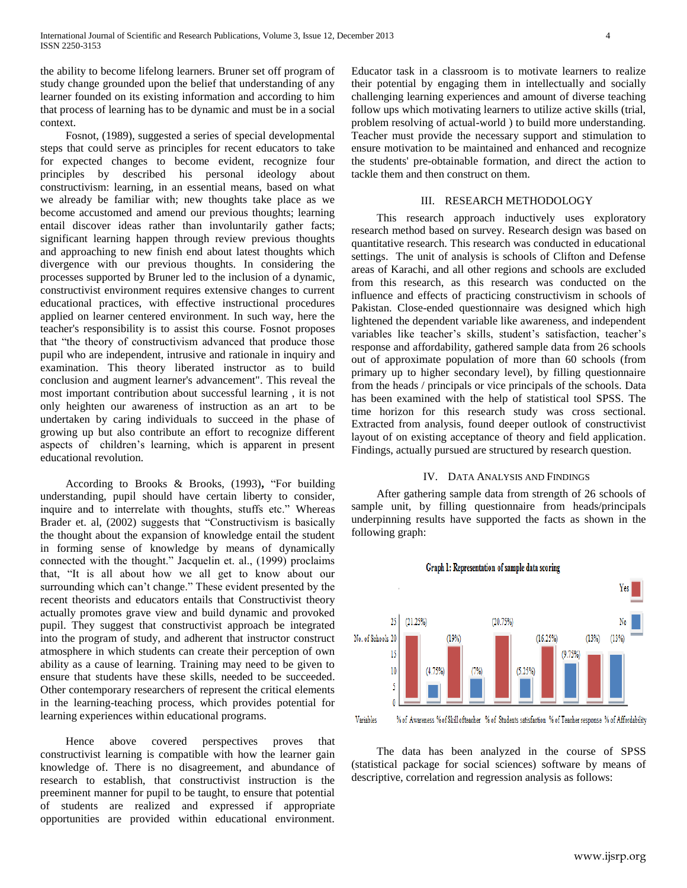the ability to become lifelong learners. Bruner set off program of study change grounded upon the belief that understanding of any learner founded on its existing information and according to him that process of learning has to be dynamic and must be in a social context.

Fosnot, (1989), suggested a series of special developmental steps that could serve as principles for recent educators to take for expected changes to become evident, recognize four principles by described his personal ideology about constructivism: learning, in an essential means, based on what we already be familiar with; new thoughts take place as we become accustomed and amend our previous thoughts; learning entail discover ideas rather than involuntarily gather facts; significant learning happen through review previous thoughts and approaching to new finish end about latest thoughts which divergence with our previous thoughts. In considering the processes supported by Bruner led to the inclusion of a dynamic, constructivist environment requires extensive changes to current educational practices, with effective instructional procedures applied on learner centered environment. In such way, here the teacher's responsibility is to assist this course. Fosnot proposes that "the theory of constructivism advanced that produce those pupil who are independent, intrusive and rationale in inquiry and examination. This theory liberated instructor as to build conclusion and augment learner's advancement". This reveal the most important contribution about successful learning , it is not only heighten our awareness of instruction as an art to be undertaken by caring individuals to succeed in the phase of growing up but also contribute an effort to recognize different aspects of children's learning, which is apparent in present educational revolution.

According to Brooks & Brooks, (1993)**,** "For building understanding, pupil should have certain liberty to consider, inquire and to interrelate with thoughts, stuffs etc." Whereas Brader et. al, (2002) suggests that "Constructivism is basically the thought about the expansion of knowledge entail the student in forming sense of knowledge by means of dynamically connected with the thought." Jacquelin et. al., (1999) proclaims that, "It is all about how we all get to know about our surrounding which can't change." These evident presented by the recent theorists and educators entails that Constructivist theory actually promotes grave view and build dynamic and provoked pupil. They suggest that constructivist approach be integrated into the program of study, and adherent that instructor construct atmosphere in which students can create their perception of own ability as a cause of learning. Training may need to be given to ensure that students have these skills, needed to be succeeded. Other contemporary researchers of represent the critical elements in the learning-teaching process, which provides potential for learning experiences within educational programs.

Hence above covered perspectives proves that constructivist learning is compatible with how the learner gain knowledge of. There is no disagreement, and abundance of research to establish, that constructivist instruction is the preeminent manner for pupil to be taught, to ensure that potential of students are realized and expressed if appropriate opportunities are provided within educational environment. Educator task in a classroom is to motivate learners to realize their potential by engaging them in intellectually and socially challenging learning experiences and amount of diverse teaching follow ups which motivating learners to utilize active skills (trial, problem resolving of actual-world ) to build more understanding. Teacher must provide the necessary support and stimulation to ensure motivation to be maintained and enhanced and recognize the students' pre-obtainable formation, and direct the action to tackle them and then construct on them.

#### III. RESEARCH METHODOLOGY

This research approach inductively uses exploratory research method based on survey. Research design was based on quantitative research. This research was conducted in educational settings. The unit of analysis is schools of Clifton and Defense areas of Karachi, and all other regions and schools are excluded from this research, as this research was conducted on the influence and effects of practicing constructivism in schools of Pakistan. Close-ended questionnaire was designed which high lightened the dependent variable like awareness, and independent variables like teacher's skills, student's satisfaction, teacher's response and affordability, gathered sample data from 26 schools out of approximate population of more than 60 schools (from primary up to higher secondary level), by filling questionnaire from the heads / principals or vice principals of the schools. Data has been examined with the help of statistical tool SPSS. The time horizon for this research study was cross sectional. Extracted from analysis, found deeper outlook of constructivist layout of on existing acceptance of theory and field application. Findings, actually pursued are structured by research question.

#### IV. DATA ANALYSIS AND FINDINGS

After gathering sample data from strength of 26 schools of sample unit, by filling questionnaire from heads/principals underpinning results have supported the facts as shown in the following graph:



Variables % of Awareness % of Skill ofteacher % of Students satisfaction % of Teacher response % of Affordability

The data has been analyzed in the course of SPSS (statistical package for social sciences) software by means of descriptive, correlation and regression analysis as follows: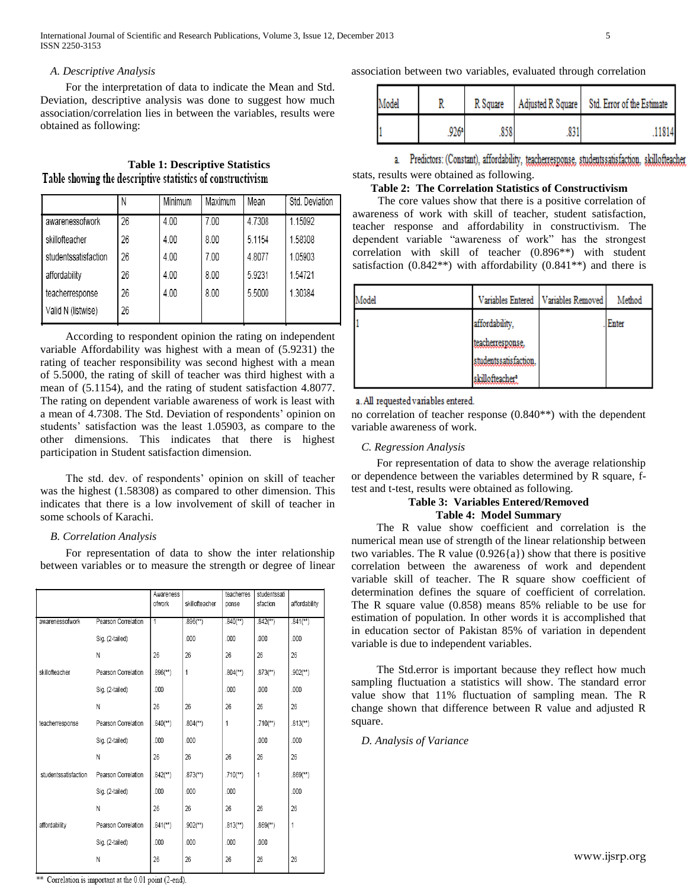## *A. Descriptive Analysis*

For the interpretation of data to indicate the Mean and Std. Deviation, descriptive analysis was done to suggest how much association/correlation lies in between the variables, results were obtained as following:

# **Table 1: Descriptive Statistics** Table showing the descriptive statistics of constructivism

|                      |    | Minimum | Maximum | Mean   | Std. Deviation |
|----------------------|----|---------|---------|--------|----------------|
| awarenessofwork      | 26 | 4.00    | 7.00    | 4.7308 | 1.15092        |
| skillofteacher       | 26 | 4.00    | 8.00    | 5.1154 | 1.58308        |
| studentssatisfaction | 26 | 4.00    | 7.00    | 4.8077 | 1.05903        |
| affordability        | 26 | 4.00    | 8.00    | 5.9231 | 1.54721        |
| teacherresponse      | 26 | 4.00    | 8.00    | 5.5000 | 1.30384        |
| Valid N (listwise)   | 26 |         |         |        |                |

According to respondent opinion the rating on independent variable Affordability was highest with a mean of (5.9231) the rating of teacher responsibility was second highest with a mean of 5.5000, the rating of skill of teacher was third highest with a mean of (5.1154), and the rating of student satisfaction 4.8077. The rating on dependent variable awareness of work is least with a mean of 4.7308. The Std. Deviation of respondents' opinion on students' satisfaction was the least 1.05903, as compare to the other dimensions. This indicates that there is highest participation in Student satisfaction dimension.

The std. dev. of respondents' opinion on skill of teacher was the highest (1.58308) as compared to other dimension. This indicates that there is a low involvement of skill of teacher in some schools of Karachi.

## *B. Correlation Analysis*

For representation of data to show the inter relationship between variables or to measure the strength or degree of linear

|                      |                     | Awareness<br>ofwork     | skillofteacher           | teacherres<br>ponse      | studentssati<br>sfaction | affordability            |
|----------------------|---------------------|-------------------------|--------------------------|--------------------------|--------------------------|--------------------------|
| awarenessofwork      | Pearson Correlation | 1                       | $.896$ <sup>(**)</sup> ) | $.840$ <sup>(**)</sup> ) | $.842$ <sup>**</sup> )   | $.841$ <sup>**</sup> )   |
|                      | Sig. (2-tailed)     |                         | .000                     | .000                     | 000                      | 000                      |
|                      | N                   | 26                      | 26                       | 26                       | 26                       | 26                       |
| skillofteacher       | Pearson Correlation | $.896$ <sup>(**</sup> ) | 1                        | $.804$ <sup>(**)</sup> ) | $.873$ <sup>(**)</sup> ) | $.902$ <sup>**</sup> )   |
|                      | Sig. (2-tailed)     | .000                    |                          | .000                     | .000                     | .000                     |
|                      | N                   | 26                      | 26                       | 26                       | 26                       | 26                       |
| teacherresponse      | Pearson Correlation | $.840$ <sup>(**</sup> ) | $.804$ <sup>(**)</sup> ) | 1                        | $.710^{(*)}$             | $.813$ <sup>**</sup> )   |
|                      | Sig. (2-tailed)     | 000                     | .000                     |                          | 000                      | 000                      |
|                      | N                   | 26                      | 26                       | 26                       | 26                       | 26                       |
| studentssatisfaction | Pearson Correlation | $.842$ <sup>**</sup> )  | $.873$ <sup>**</sup> )   | $.710^{**}$ )            | 1                        | $.869$ <sup>(**)</sup> ) |
|                      | Sig. (2-tailed)     | 000                     | 000                      | 000                      |                          | 000                      |
|                      | N                   | 26                      | 26                       | 26                       | 26                       | 26                       |
| affordability        | Pearson Correlation | $.841$ <sup>(**)</sup>  | $.902$ <sup>**</sup> )   | $.813$ <sup>(**)</sup> ) | $.869$ <sup>(**)</sup>   | 1                        |
|                      | Sig. (2-tailed)     | .000                    | .000                     | .000                     | .000                     |                          |
|                      | N                   | 26                      | 26                       | 26                       | 26                       | 26                       |

association between two variables, evaluated through correlation

| Model | R Square |     | Adjusted R Square   Std. Error of the Estimate |  |
|-------|----------|-----|------------------------------------------------|--|
|       | 926ª     | 050 | .11814                                         |  |

a. Predictors: (Constant), affordability, teacherresponse, studentssatisfaction, skillofteacher stats, results were obtained as following.

# **Table 2: The Correlation Statistics of Constructivism**

The core values show that there is a positive correlation of awareness of work with skill of teacher, student satisfaction, teacher response and affordability in constructivism. The dependent variable "awareness of work" has the strongest correlation with skill of teacher (0.896\*\*) with student satisfaction  $(0.842**)$  with affordability  $(0.841**)$  and there is

| Model |                       | Variables Entered   Variables Removed | Method |
|-------|-----------------------|---------------------------------------|--------|
|       | affordability,        |                                       | Enter  |
|       | teacherresponse.      |                                       |        |
|       | studentssatisfaction. |                                       |        |
|       | skillofteacher?       |                                       |        |

a. All requested variables entered.

no correlation of teacher response (0.840\*\*) with the dependent variable awareness of work.

## *C. Regression Analysis*

For representation of data to show the average relationship or dependence between the variables determined by R square, ftest and t-test, results were obtained as following.

## **Table 3: Variables Entered/Removed Table 4: Model Summary**

The R value show coefficient and correlation is the numerical mean use of strength of the linear relationship between two variables. The R value  $(0.926\{a\})$  show that there is positive correlation between the awareness of work and dependent variable skill of teacher. The R square show coefficient of determination defines the square of coefficient of correlation. The R square value (0.858) means 85% reliable to be use for estimation of population. In other words it is accomplished that in education sector of Pakistan 85% of variation in dependent variable is due to independent variables.

The Std.error is important because they reflect how much sampling fluctuation a statistics will show. The standard error value show that 11% fluctuation of sampling mean. The R change shown that difference between R value and adjusted R square.

*D. Analysis of Variance*

\*\* Correlation is important at the 0.01 point (2-end).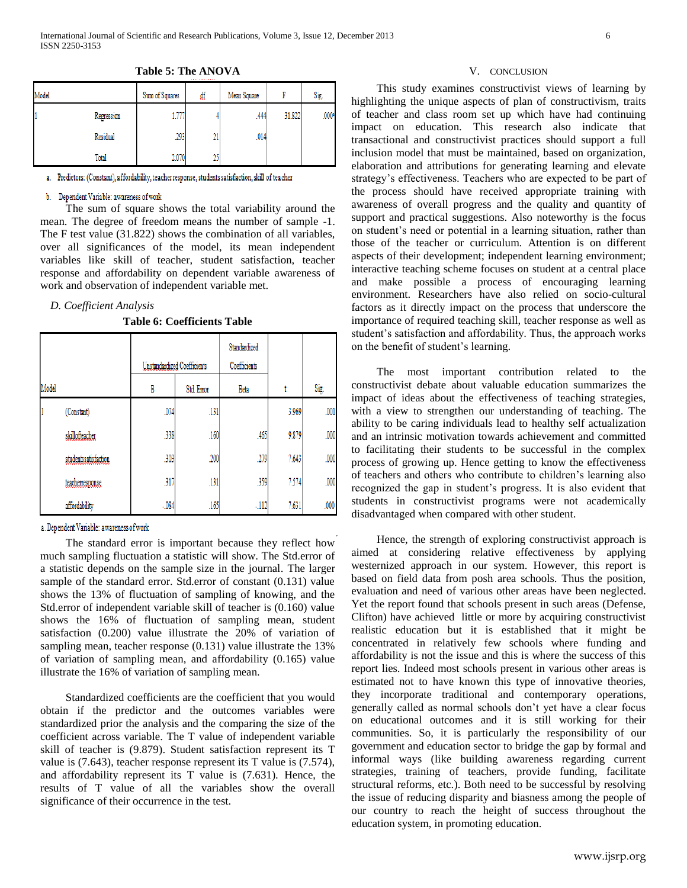| Model |            | Sum of Squares | ₫f        | Mean Square |        | Sig.    |
|-------|------------|----------------|-----------|-------------|--------|---------|
|       | Regression | 777<br>1.771   |           | .444        | 31.822 | $.000*$ |
|       | Residual   | .293           | 21        | .014        |        |         |
|       | Total      | 2.070          | 96<br>ر ے |             |        |         |

**Table 5: The ANOVA**

a. Predictors: (Constant), affordability, teacher response, students satisfaction, skill of teacher

#### b. Dependent Variable: awareness of work

The sum of square shows the total variability around the mean. The degree of freedom means the number of sample -1. The F test value (31.822) shows the combination of all variables, over all significances of the model, its mean independent variables like skill of teacher, student satisfaction, teacher response and affordability on dependent variable awareness of work and observation of independent variable met.

## *D. Coefficient Analysis*

**Table 6: Coefficients Table**

|       |                      | Unstandardized Coefficients |      | Standardized<br>Coefficients |       |      |
|-------|----------------------|-----------------------------|------|------------------------------|-------|------|
| Model |                      | В<br>Std. Error             |      | Beta                         |       | Sig. |
|       | (Constant)           | .074                        | .131 |                              | 3.969 | .001 |
|       | skillofteacher       | .338                        | .160 | .465                         | 9.879 | .000 |
|       | studentssatisfaction | .303                        | .200 | .279                         | 7.643 | .000 |
|       | teacherresponse      | .317                        | .131 | .359                         | 7.574 | .000 |
|       | affordability        | $-084$                      | .165 | $-112$                       | 7.631 | .000 |

a. Dependent Variable: awareness of work

The standard error is important because they reflect how much sampling fluctuation a statistic will show. The Std.error of a statistic depends on the sample size in the journal. The larger sample of the standard error. Std.error of constant (0.131) value shows the 13% of fluctuation of sampling of knowing, and the Std.error of independent variable skill of teacher is (0.160) value shows the 16% of fluctuation of sampling mean, student satisfaction (0.200) value illustrate the 20% of variation of sampling mean, teacher response (0.131) value illustrate the 13% of variation of sampling mean, and affordability (0.165) value illustrate the 16% of variation of sampling mean.

Standardized coefficients are the coefficient that you would obtain if the predictor and the outcomes variables were standardized prior the analysis and the comparing the size of the coefficient across variable. The T value of independent variable skill of teacher is (9.879). Student satisfaction represent its T value is (7.643), teacher response represent its T value is (7.574), and affordability represent its T value is (7.631). Hence, the results of T value of all the variables show the overall significance of their occurrence in the test.

#### V. CONCLUSION

This study examines constructivist views of learning by highlighting the unique aspects of plan of constructivism, traits of teacher and class room set up which have had continuing impact on education. This research also indicate that transactional and constructivist practices should support a full inclusion model that must be maintained, based on organization, elaboration and attributions for generating learning and elevate strategy's effectiveness. Teachers who are expected to be part of the process should have received appropriate training with awareness of overall progress and the quality and quantity of support and practical suggestions. Also noteworthy is the focus on student's need or potential in a learning situation, rather than those of the teacher or curriculum. Attention is on different aspects of their development; independent learning environment; interactive teaching scheme focuses on student at a central place and make possible a process of encouraging learning environment. Researchers have also relied on socio-cultural factors as it directly impact on the process that underscore the importance of required teaching skill, teacher response as well as student's satisfaction and affordability. Thus, the approach works on the benefit of student's learning.

The most important contribution related to the constructivist debate about valuable education summarizes the impact of ideas about the effectiveness of teaching strategies, with a view to strengthen our understanding of teaching. The ability to be caring individuals lead to healthy self actualization and an intrinsic motivation towards achievement and committed to facilitating their students to be successful in the complex process of growing up. Hence getting to know the effectiveness of teachers and others who contribute to children's learning also recognized the gap in student's progress. It is also evident that students in constructivist programs were not academically disadvantaged when compared with other student.

Hence, the strength of exploring constructivist approach is aimed at considering relative effectiveness by applying westernized approach in our system. However, this report is based on field data from posh area schools. Thus the position, evaluation and need of various other areas have been neglected. Yet the report found that schools present in such areas (Defense, Clifton) have achieved little or more by acquiring constructivist realistic education but it is established that it might be concentrated in relatively few schools where funding and affordability is not the issue and this is where the success of this report lies. Indeed most schools present in various other areas is estimated not to have known this type of innovative theories, they incorporate traditional and contemporary operations, generally called as normal schools don't yet have a clear focus on educational outcomes and it is still working for their communities. So, it is particularly the responsibility of our government and education sector to bridge the gap by formal and informal ways (like building awareness regarding current strategies, training of teachers, provide funding, facilitate structural reforms, etc.). Both need to be successful by resolving the issue of reducing disparity and biasness among the people of our country to reach the height of success throughout the education system, in promoting education.